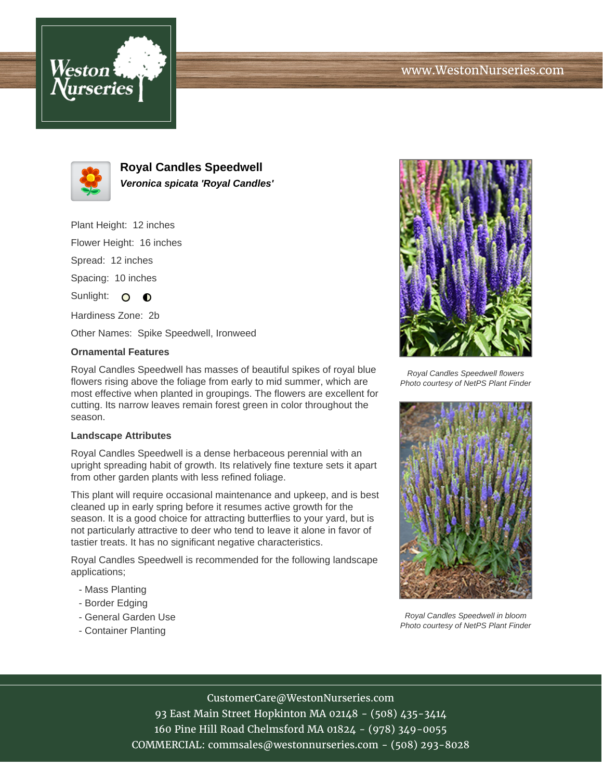



**Royal Candles Speedwell Veronica spicata 'Royal Candles'**

Plant Height: 12 inches

Flower Height: 16 inches

Spread: 12 inches

Spacing: 10 inches

Sunlight: O  $\bullet$ 

Hardiness Zone: 2b

Other Names: Spike Speedwell, Ironweed

## **Ornamental Features**

Royal Candles Speedwell has masses of beautiful spikes of royal blue flowers rising above the foliage from early to mid summer, which are most effective when planted in groupings. The flowers are excellent for cutting. Its narrow leaves remain forest green in color throughout the season.

## **Landscape Attributes**

Royal Candles Speedwell is a dense herbaceous perennial with an upright spreading habit of growth. Its relatively fine texture sets it apart from other garden plants with less refined foliage.

This plant will require occasional maintenance and upkeep, and is best cleaned up in early spring before it resumes active growth for the season. It is a good choice for attracting butterflies to your yard, but is not particularly attractive to deer who tend to leave it alone in favor of tastier treats. It has no significant negative characteristics.

Royal Candles Speedwell is recommended for the following landscape applications;

- Mass Planting
- Border Edging
- General Garden Use
- Container Planting



Royal Candles Speedwell flowers Photo courtesy of NetPS Plant Finder



Royal Candles Speedwell in bloom Photo courtesy of NetPS Plant Finder

CustomerCare@WestonNurseries.com

93 East Main Street Hopkinton MA 02148 - (508) 435-3414 160 Pine Hill Road Chelmsford MA 01824 - (978) 349-0055 COMMERCIAL: commsales@westonnurseries.com - (508) 293-8028